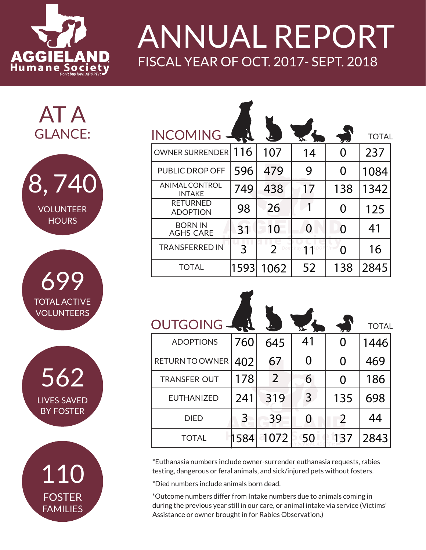

## ANNUAL REPORT FISCAL YEAR OF OCT. 2017- SEPT. 2018

AT A GLANCE:



**TOTAL ACTIVE** VOLUNTEERS 699

LIVES SAVED BY FOSTER 562



| <b>INCOMING</b>                        |      |                       |                   |     | <b>TOTAL</b> |
|----------------------------------------|------|-----------------------|-------------------|-----|--------------|
| <b>OWNER SURRENDER</b>                 | 116  | 107                   | 14                | O   | 237          |
| <b>PUBLIC DROP OFF</b>                 | 596  | 479                   | 9                 | 0   | 1084         |
| <b>ANIMAL CONTROL</b><br><b>INTAKE</b> | 749  | 438                   | 17                | 138 | 1342         |
| <b>RETURNED</b><br><b>ADOPTION</b>     | 98   | 26                    |                   | O   | 125          |
| <b>BORNIN</b><br><b>AGHS CARE</b>      | 31   | 10                    | $\mathbf{\Omega}$ | O   | 41           |
| <b>TRANSFERRED IN</b>                  | 3    | $\overline{2}$<br>Don | 11                |     | 16           |
| TOTAL                                  | 1593 | 1062                  | 52                | 138 | 2845         |

| <b>OUTGOING</b>        |      |      | ᢘ  |          | <b>TOTAL</b> |
|------------------------|------|------|----|----------|--------------|
| <b>ADOPTIONS</b>       | 760  | 645  | 41 | $\Omega$ | 1446         |
| <b>RETURN TO OWNER</b> | 402  | 67   | 0  | 0        | 469          |
| <b>TRANSFER OUT</b>    | 178  | 2    | 6  | 0        | 186          |
| <b>EUTHANIZED</b>      | 241  | 319  | 3  | 135      | 698          |
| <b>DIED</b>            | 3    | 39   | 0  | 2        | 44           |
| <b>TOTAL</b>           | 1584 | 1072 | 50 | 137      | 2843         |

\*Euthanasia numbers include owner-surrender euthanasia requests, rabies testing, dangerous or feral animals, and sick/injured pets without fosters.

\*Died numbers include animals born dead.

\*Outcome numbers differ from Intake numbers due to animals coming in during the previous year still in our care, or animal intake via service (Victims' Assistance or owner brought in for Rabies Observation.)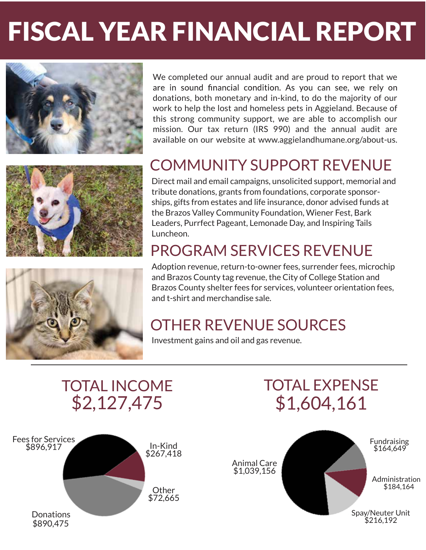## FISCAL YEAR FINANCIAL REPORT FISCAL YEAR FINANCIAL REPORT







We completed our annual audit and are proud to report that we are in sound financial condition. As you can see, we rely on donations, both monetary and in-kind, to do the majority of our work to help the lost and homeless pets in Aggieland. Because of this strong community support, we are able to accomplish our mission. Our tax return (IRS 990) and the annual audit are available on our website at www.aggielandhumane.org/about-us.

### COMMUNITY SUPPORT REVENUE

Direct mail and email campaigns, unsolicited support, memorial and tribute donations, grants from foundations, corporate sponsorships, gifts from estates and life insurance, donor advised funds at the Brazos Valley Community Foundation, Wiener Fest, Bark Leaders, Purrfect Pageant, Lemonade Day, and Inspiring Tails Luncheon.

### PROGRAM SERVICES REVENUE

Adoption revenue, return-to-owner fees, surrender fees, microchip and Brazos County tag revenue, the City of College Station and Brazos County shelter fees for services, volunteer orientation fees, and t-shirt and merchandise sale.

### OTHER REVENUE SOURCES

Investment gains and oil and gas revenue.



### TOTAL INCOME TOTAL EXPENSE \$2,127,475 \$1,604,161